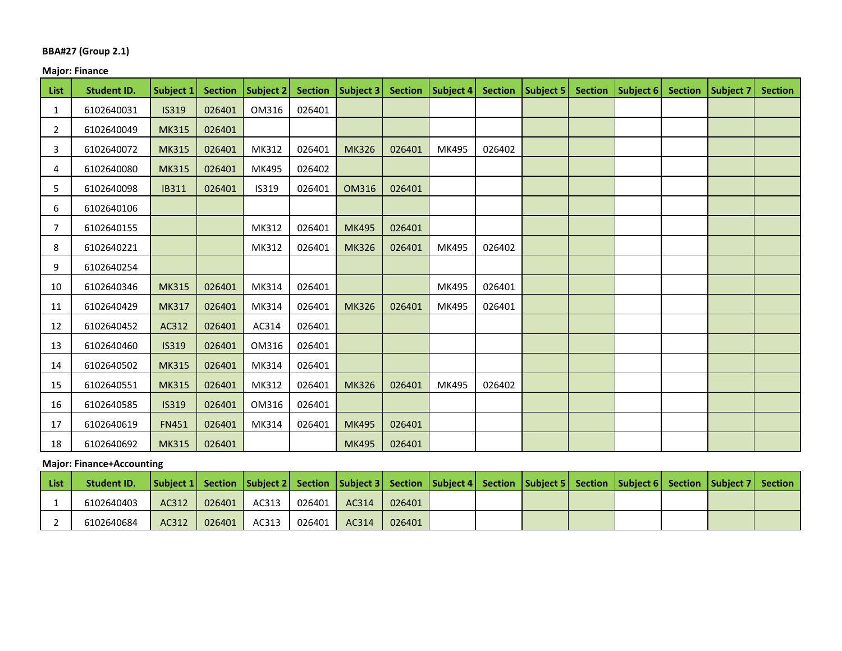### **BBA#27 (Group 2.1)**

# **Major: Finance**

| <b>List</b>    | <b>Student ID.</b> | Subject 1    | <b>Section</b> | <b>Subject 2</b> | <b>Section</b> | Subject 3    | <b>Section</b> | Subject 4 | <b>Section</b> | Subject 5 | <b>Section</b> | Subject 6 | <b>Section</b> | Subject 7 | <b>Section</b> |
|----------------|--------------------|--------------|----------------|------------------|----------------|--------------|----------------|-----------|----------------|-----------|----------------|-----------|----------------|-----------|----------------|
| 1              | 6102640031         | <b>IS319</b> | 026401         | OM316            | 026401         |              |                |           |                |           |                |           |                |           |                |
| 2              | 6102640049         | <b>MK315</b> | 026401         |                  |                |              |                |           |                |           |                |           |                |           |                |
| 3              | 6102640072         | <b>MK315</b> | 026401         | MK312            | 026401         | <b>MK326</b> | 026401         | MK495     | 026402         |           |                |           |                |           |                |
| 4              | 6102640080         | <b>MK315</b> | 026401         | MK495            | 026402         |              |                |           |                |           |                |           |                |           |                |
| 5              | 6102640098         | <b>IB311</b> | 026401         | IS319            | 026401         | <b>OM316</b> | 026401         |           |                |           |                |           |                |           |                |
| 6              | 6102640106         |              |                |                  |                |              |                |           |                |           |                |           |                |           |                |
| $\overline{7}$ | 6102640155         |              |                | MK312            | 026401         | <b>MK495</b> | 026401         |           |                |           |                |           |                |           |                |
| 8              | 6102640221         |              |                | MK312            | 026401         | <b>MK326</b> | 026401         | MK495     | 026402         |           |                |           |                |           |                |
| 9              | 6102640254         |              |                |                  |                |              |                |           |                |           |                |           |                |           |                |
| 10             | 6102640346         | <b>MK315</b> | 026401         | MK314            | 026401         |              |                | MK495     | 026401         |           |                |           |                |           |                |
| 11             | 6102640429         | <b>MK317</b> | 026401         | MK314            | 026401         | <b>MK326</b> | 026401         | MK495     | 026401         |           |                |           |                |           |                |
| 12             | 6102640452         | AC312        | 026401         | AC314            | 026401         |              |                |           |                |           |                |           |                |           |                |
| 13             | 6102640460         | <b>IS319</b> | 026401         | OM316            | 026401         |              |                |           |                |           |                |           |                |           |                |
| 14             | 6102640502         | <b>MK315</b> | 026401         | MK314            | 026401         |              |                |           |                |           |                |           |                |           |                |
| 15             | 6102640551         | <b>MK315</b> | 026401         | MK312            | 026401         | <b>MK326</b> | 026401         | MK495     | 026402         |           |                |           |                |           |                |
| 16             | 6102640585         | <b>IS319</b> | 026401         | OM316            | 026401         |              |                |           |                |           |                |           |                |           |                |
| 17             | 6102640619         | <b>FN451</b> | 026401         | MK314            | 026401         | <b>MK495</b> | 026401         |           |                |           |                |           |                |           |                |
| 18             | 6102640692         | <b>MK315</b> | 026401         |                  |                | <b>MK495</b> | 026401         |           |                |           |                |           |                |           |                |

# **Major: Finance+Accounting**

| List | Student ID. |       |        | Subject 1   Section   Subject 2   Section   Subject 3   Section   Subject 4   Section   Subject 5   Section   Subject 6   Section   Subject 7   Section   Subject 7   Section   Subject 7   Section   Subject 7   Section |        |       |        |  |  |  |  |
|------|-------------|-------|--------|---------------------------------------------------------------------------------------------------------------------------------------------------------------------------------------------------------------------------|--------|-------|--------|--|--|--|--|
|      | 6102640403  | AC312 | 026401 | AC313                                                                                                                                                                                                                     | 026401 | AC314 | 026401 |  |  |  |  |
|      | 6102640684  | AC312 | 026401 | AC313                                                                                                                                                                                                                     | 026401 | AC314 | 026401 |  |  |  |  |